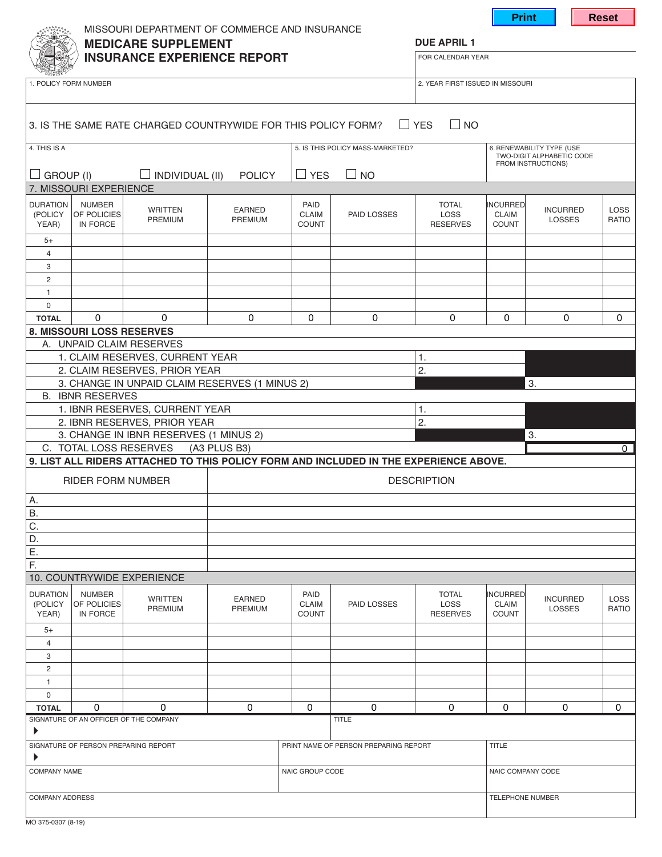|                                                                                           |                                                 |                                                               |                                 |                                       |                                                                                       |                                                | <b>Print</b>                                                                 |                                  | <b>Reset</b>         |  |
|-------------------------------------------------------------------------------------------|-------------------------------------------------|---------------------------------------------------------------|---------------------------------|---------------------------------------|---------------------------------------------------------------------------------------|------------------------------------------------|------------------------------------------------------------------------------|----------------------------------|----------------------|--|
| MISSOURI DEPARTMENT OF COMMERCE AND INSURANCE                                             |                                                 |                                                               |                                 |                                       |                                                                                       |                                                |                                                                              |                                  |                      |  |
| <b>MEDICARE SUPPLEMENT</b><br><b>INSURANCE EXPERIENCE REPORT</b><br>1. POLICY FORM NUMBER |                                                 |                                                               |                                 |                                       |                                                                                       | <b>DUE APRIL 1</b><br>FOR CALENDAR YEAR        |                                                                              |                                  |                      |  |
|                                                                                           |                                                 |                                                               |                                 |                                       |                                                                                       |                                                |                                                                              |                                  |                      |  |
|                                                                                           |                                                 | 3. IS THE SAME RATE CHARGED COUNTRYWIDE FOR THIS POLICY FORM? |                                 |                                       |                                                                                       | $\Box$ YES<br>$\square$ No                     |                                                                              |                                  |                      |  |
|                                                                                           |                                                 |                                                               |                                 |                                       |                                                                                       |                                                |                                                                              |                                  |                      |  |
| 4. THIS IS A                                                                              |                                                 |                                                               |                                 |                                       | 5. IS THIS POLICY MASS-MARKETED?                                                      |                                                | 6. RENEWABILITY TYPE (USE<br>TWO-DIGIT ALPHABETIC CODE<br>FROM INSTRUCTIONS) |                                  |                      |  |
| GROUP (I)<br>ப                                                                            |                                                 | $\Box$ INDIVIDUAL (II)                                        | <b>POLICY</b>                   | $\Box$ YES                            | $\Box$ NO                                                                             |                                                |                                                                              |                                  |                      |  |
|                                                                                           | 7. MISSOURI EXPERIENCE                          |                                                               |                                 |                                       |                                                                                       |                                                |                                                                              |                                  |                      |  |
| <b>DURATION</b><br>(POLICY<br>YEAR)                                                       | <b>NUMBER</b><br><b>OF POLICIES</b><br>IN FORCE | <b>WRITTEN</b><br><b>PREMIUM</b>                              | <b>EARNED</b><br><b>PREMIUM</b> | PAID<br><b>CLAIM</b><br><b>COUNT</b>  | PAID LOSSES                                                                           | <b>TOTAL</b><br><b>LOSS</b><br><b>RESERVES</b> | <b>INCURRED</b><br><b>CLAIM</b><br><b>COUNT</b>                              | <b>INCURRED</b><br><b>LOSSES</b> | <b>LOSS</b><br>RATIO |  |
| $5+$                                                                                      |                                                 |                                                               |                                 |                                       |                                                                                       |                                                |                                                                              |                                  |                      |  |
| 4                                                                                         |                                                 |                                                               |                                 |                                       |                                                                                       |                                                |                                                                              |                                  |                      |  |
| 3<br>2                                                                                    |                                                 |                                                               |                                 |                                       |                                                                                       |                                                |                                                                              |                                  |                      |  |
| 1                                                                                         |                                                 |                                                               |                                 |                                       |                                                                                       |                                                |                                                                              |                                  |                      |  |
| 0                                                                                         |                                                 |                                                               |                                 |                                       |                                                                                       |                                                |                                                                              |                                  |                      |  |
| <b>TOTAL</b>                                                                              | 0<br>8. MISSOURI LOSS RESERVES                  | 0                                                             | 0                               | 0                                     | 0                                                                                     | 0                                              | 0                                                                            | 0                                | 0                    |  |
|                                                                                           |                                                 | A. UNPAID CLAIM RESERVES                                      |                                 |                                       |                                                                                       |                                                |                                                                              |                                  |                      |  |
| 1. CLAIM RESERVES, CURRENT YEAR                                                           |                                                 |                                                               |                                 | 1.                                    |                                                                                       |                                                |                                                                              |                                  |                      |  |
| 2. CLAIM RESERVES, PRIOR YEAR                                                             |                                                 |                                                               |                                 | 2.                                    |                                                                                       |                                                | 3.                                                                           |                                  |                      |  |
| 3. CHANGE IN UNPAID CLAIM RESERVES (1 MINUS 2)<br><b>B. IBNR RESERVES</b>                 |                                                 |                                                               |                                 |                                       |                                                                                       |                                                |                                                                              |                                  |                      |  |
|                                                                                           |                                                 | 1. IBNR RESERVES, CURRENT YEAR                                |                                 | 1.                                    |                                                                                       |                                                |                                                                              |                                  |                      |  |
| 2. IBNR RESERVES, PRIOR YEAR<br>3. CHANGE IN IBNR RESERVES (1 MINUS 2)                    |                                                 |                                                               |                                 |                                       |                                                                                       | 2.                                             | 3.                                                                           |                                  |                      |  |
|                                                                                           | C. TOTAL LOSS RESERVES                          |                                                               | (A3 PLUS B3)                    |                                       |                                                                                       |                                                |                                                                              |                                  | $\Omega$             |  |
|                                                                                           |                                                 |                                                               |                                 |                                       | 9. LIST ALL RIDERS ATTACHED TO THIS POLICY FORM AND INCLUDED IN THE EXPERIENCE ABOVE. |                                                |                                                                              |                                  |                      |  |
| <b>RIDER FORM NUMBER</b>                                                                  |                                                 |                                                               | <b>DESCRIPTION</b>              |                                       |                                                                                       |                                                |                                                                              |                                  |                      |  |
| Α.                                                                                        |                                                 |                                                               |                                 |                                       |                                                                                       |                                                |                                                                              |                                  |                      |  |
| Β.<br>C.                                                                                  |                                                 |                                                               |                                 |                                       |                                                                                       |                                                |                                                                              |                                  |                      |  |
| D.                                                                                        |                                                 |                                                               |                                 |                                       |                                                                                       |                                                |                                                                              |                                  |                      |  |
| Ε.                                                                                        |                                                 |                                                               |                                 |                                       |                                                                                       |                                                |                                                                              |                                  |                      |  |
| F.                                                                                        |                                                 |                                                               |                                 |                                       |                                                                                       |                                                |                                                                              |                                  |                      |  |
|                                                                                           |                                                 | 10. COUNTRYWIDE EXPERIENCE                                    |                                 |                                       |                                                                                       |                                                |                                                                              |                                  |                      |  |
| <b>DURATION</b><br>(POLICY<br>YEAR)                                                       | <b>NUMBER</b><br>OF POLICIES<br>IN FORCE        | <b>WRITTEN</b><br>PREMIUM                                     | <b>EARNED</b><br>PREMIUM        | PAID<br><b>CLAIM</b><br><b>COUNT</b>  | PAID LOSSES                                                                           | <b>TOTAL</b><br>LOSS<br><b>RESERVES</b>        | <b>INCURRED</b><br>CLAIM<br><b>COUNT</b>                                     | <b>INCURRED</b><br>LOSSES        | <b>LOSS</b><br>RATIO |  |
| $5+$                                                                                      |                                                 |                                                               |                                 |                                       |                                                                                       |                                                |                                                                              |                                  |                      |  |
| 4<br>3                                                                                    |                                                 |                                                               |                                 |                                       |                                                                                       |                                                |                                                                              |                                  |                      |  |
| 2                                                                                         |                                                 |                                                               |                                 |                                       |                                                                                       |                                                |                                                                              |                                  |                      |  |
| 1                                                                                         |                                                 |                                                               |                                 |                                       |                                                                                       |                                                |                                                                              |                                  |                      |  |
| 0<br><b>TOTAL</b>                                                                         | 0                                               | 0                                                             | 0                               | 0                                     | 0                                                                                     | 0                                              | 0                                                                            | 0                                | 0                    |  |
|                                                                                           | SIGNATURE OF AN OFFICER OF THE COMPANY          |                                                               |                                 |                                       | <b>TITLE</b>                                                                          |                                                |                                                                              |                                  |                      |  |
| ▶                                                                                         |                                                 |                                                               |                                 |                                       |                                                                                       |                                                |                                                                              |                                  |                      |  |
| SIGNATURE OF PERSON PREPARING REPORT<br>▶                                                 |                                                 |                                                               |                                 | PRINT NAME OF PERSON PREPARING REPORT |                                                                                       |                                                | <b>TITLE</b>                                                                 |                                  |                      |  |
| <b>COMPANY NAME</b>                                                                       |                                                 |                                                               |                                 | NAIC GROUP CODE                       |                                                                                       |                                                | NAIC COMPANY CODE                                                            |                                  |                      |  |
| <b>COMPANY ADDRESS</b>                                                                    |                                                 |                                                               |                                 |                                       |                                                                                       |                                                | <b>TELEPHONE NUMBER</b>                                                      |                                  |                      |  |
| MO 375-0307 (8-19)                                                                        |                                                 |                                                               |                                 |                                       |                                                                                       |                                                |                                                                              |                                  |                      |  |